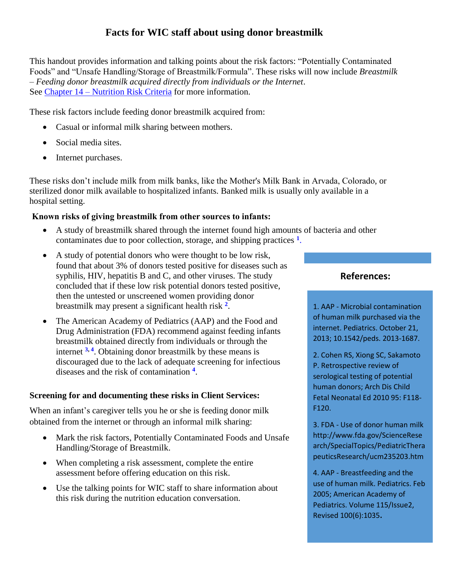# **Facts for WIC staff about using donor breastmilk**

This handout provides information and talking points about the risk factors: "Potentially Contaminated Foods" and "Unsafe Handling/Storage of Breastmilk/Formula". These risks will now include *Breastmilk – Feeding donor breastmilk acquired directly from individuals or the Internet*. See Chapter 14 – [Nutrition Risk Criteria](https://www.google.com/url?sa=t&rct=j&q=&esrc=s&source=web&cd=1&cad=rja&uact=8&ved=0ahUKEwjzj-_zna3XAhXrx1QKHU1dAOEQFggqMAA&url=https%3A%2F%2Fwww.doh.wa.gov%2Fportals%2F1%2FDocuments%2FPubs%2F960-105-Volume1Chapter14.pdf&usg=AOvVaw3fEXgLRserRC0WY8Lj2I5E) for more information.

These risk factors include feeding donor breastmilk acquired from:

- Casual or informal milk sharing between mothers.
- Social media sites.
- Internet purchases.

These risks don't include milk from milk banks, like the Mother's Milk Bank in Arvada, Colorado, or sterilized donor milk available to hospitalized infants. Banked milk is usually only available in a hospital setting.

### **Known risks of giving breastmilk from other sources to infants:**

- A study of breastmilk shared through the internet found high amounts of bacteria and other contaminates due to poor collection, storage, and shipping practices **<sup>1</sup>** [.](https://www.google.com/url?sa=t&rct=j&q=&esrc=s&source=web&cd=1&cad=rja&uact=8&ved=0ahUKEwiz8--Wja3XAhUO92MKHaAhASIQFggnMAA&url=http%3A%2F%2Fpediatrics.aappublications.org%2Fcontent%2Fearly%2F2013%2F10%2F16%2Fpeds.2013-1687&usg=AOvVaw0VOMnN_R8WhhIPgPwIzkdM)
- A study of potential donors who were thought to be low risk, found that about 3% of donors tested positive for diseases such as syphilis, HIV, hepatitis B and C, and other viruses. The study concluded that if these low risk potential donors tested positive, then the untested or unscreened women providing donor breastmilk may present a significant health risk **<sup>2</sup>** .
- The American Academy of Pediatrics (AAP) and the Food and Drug Administration (FDA) recommend against feeding infants breastmilk obtained directly from individuals or through the internet **[3,](http://www.fda.gov/ScienceResearch/SpecialTopics/PediatricTherapeuticsResearch/ucm235203.htm) [4](http://pediatrics.aappublications.org/content/115/2/496)** . Obtaining donor breastmilk by these means is discouraged due to the lack of adequate screening for infectious diseases and the risk of contamination **[4](http://pediatrics.aappublications.org/content/115/2/496)** .

### **Screening for and documenting these risks in Client Services:**

When an infant's caregiver tells you he or she is feeding donor milk obtained from the internet or through an informal milk sharing:

- Mark the risk factors, Potentially Contaminated Foods and Unsafe Handling/Storage of Breastmilk.
- When completing a risk assessment, complete the entire assessment before offering education on this risk.
- Use the talking points for WIC staff to share information about this risk during the nutrition education conversation.

## **References:**

1. AAP - Microbial contamination of human milk purchased via the internet. Pediatrics. October 21, 2013; 10.1542/peds. 2013-1687.

2. Cohen RS, Xiong SC, Sakamoto P. Retrospective review of serological testing of potential human donors; Arch Dis Child Fetal Neonatal Ed 2010 95: F118- F120.

3. FDA - Use of donor human milk http://www.fda.gov/ScienceRese arch/SpecialTopics/PediatricThera peuticsResearch/ucm235203.htm

4. AAP - Breastfeeding and the use of human milk. Pediatrics. Feb 2005; American Academy of Pediatrics. Volume 115/Issue2, Revised 100(6):1035**.**